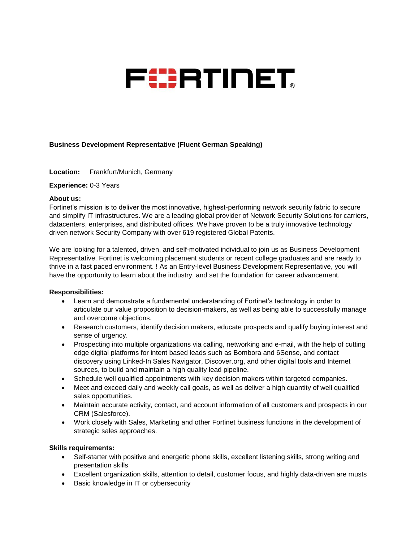

# **Business Development Representative (Fluent German Speaking)**

**Location:** Frankfurt/Munich, Germany

## **Experience:** 0-3 Years

## **About us:**

Fortinet's mission is to deliver the most innovative, highest-performing network security fabric to secure and simplify IT infrastructures. We are a leading global provider of Network Security Solutions for carriers, datacenters, enterprises, and distributed offices. We have proven to be a truly innovative technology driven network Security Company with over 619 registered Global Patents.

We are looking for a talented, driven, and self-motivated individual to join us as Business Development Representative. Fortinet is welcoming placement students or recent college graduates and are ready to thrive in a fast paced environment. ! As an Entry-level Business Development Representative, you will have the opportunity to learn about the industry, and set the foundation for career advancement.

## **Responsibilities:**

- Learn and demonstrate a fundamental understanding of Fortinet's technology in order to articulate our value proposition to decision-makers, as well as being able to successfully manage and overcome objections.
- Research customers, identify decision makers, educate prospects and qualify buying interest and sense of urgency.
- Prospecting into multiple organizations via calling, networking and e-mail, with the help of cutting edge digital platforms for intent based leads such as Bombora and 6Sense, and contact discovery using Linked-In Sales Navigator, Discover.org, and other digital tools and Internet sources, to build and maintain a high quality lead pipeline.
- Schedule well qualified appointments with key decision makers within targeted companies.
- Meet and exceed daily and weekly call goals, as well as deliver a high quantity of well qualified sales opportunities.
- Maintain accurate activity, contact, and account information of all customers and prospects in our CRM (Salesforce).
- Work closely with Sales, Marketing and other Fortinet business functions in the development of strategic sales approaches.

## **Skills requirements:**

- Self-starter with positive and energetic phone skills, excellent listening skills, strong writing and presentation skills
- Excellent organization skills, attention to detail, customer focus, and highly data-driven are musts
- Basic knowledge in IT or cybersecurity